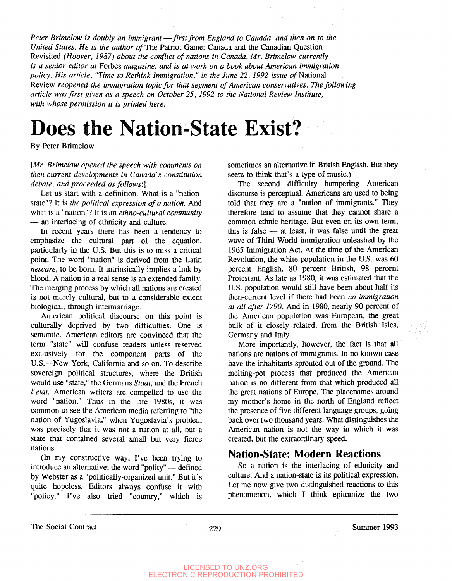*Peter Brimelaw is doubly an immigrant*—*first from England to Canada, and then on to the United States. He is the author of The Patriot Game: Canada and the Canadian Question* Revisited *(Hoover, 1987) about the conflict of nations in Canada. Mr. Brimelow currently is a senior editor at* Forbes *magazine, and is at work on a book about American immigration policy. His article, "Time to Rethink Immigration," in the June 22, 1992 issue of* National Review *reopened the immigration topic for that segment of American conservatives. The following article was first given as a speech on October 25, 1992 to the National Review Institute, with whose permission it is printed here.*

# **Does the Nation-State Exist?**

By Peter Brimelow

#### *[Mr. Brimelow opened the speech with comments on then-current developments in Canada's constitution debate, and proceeded as follows:]*

Let us start with a definition. What is a "nationstate"? It is *the political expression of a nation.* And what is a "nation"? It is an *ethno-cultural community* — an interlacing of ethnicity and culture.

In recent years there has been a tendency to emphasize the cultural part of the equation, particularly in the U.S. But this is to miss a critical point. The word "nation" is derived from the Latin *nescare,* to be bom. It intrinsically implies a link by blood. A nation in a real sense is an extended family. The merging process by which all nations are created is not merely cultural, but to a considerable extent biological, through intermarriage.

American political discourse on this point is culturally deprived by two difficulties. One is semantic. American editors are convinced that the term "state" will confuse readers unless reserved exclusively for the component parts of the U.S.—New York, California and so on. To describe sovereign political structures, where the British would use "state," the Germans *Stoat,* and the French *I'etat,* American writers are compelled to use the word "nation." Thus in the late 1980s, it was common to see the American media referring to "the nation of Yugoslavia," when Yugoslavia's problem was precisely that it was not a nation at all, but a state that contained several small but very fierce nations.

(In my constructive way, I've been trying to introduce an alternative: the word "polity" — defined by Webster as a "politically-organized unit." But it's quite hopeless. Editors always confuse it with "policy." I've also tried "country," which is

sometimes an alternative in British English. But they seem to think that's a type of music.)

The second difficulty hampering American discourse is perceptual. Americans are used to being told that they are a "nation of immigrants." They therefore tend to assume that they cannot share a common ethnic heritage. But even on its own term, this is false — at least, it was false until the great wave of Third World immigration unleashed by the 1965 Immigration Act. At the time of the American Revolution, the white population in the U.S. was 60 percent English, 80 percent British, 98 percent Protestant. As late as 1980, it was estimated that the U.S. population would still have been about half its then-current level if there had been *no immigration at all after 1790.* And in 1980, nearly 90 percent of the American population was European, the great bulk of it closely related, from the British Isles, Germany and Italy.

More importantly, however, the fact is that all nations are nations of immigrants. In no known case have the inhabitants sprouted out of the ground. The melting-pot process that produced the American nation is no different from that which produced all the great nations of Europe. The placenames around my mother's home in the north of England reflect the presence of five different language groups, going back over two thousand years. What distinguishes the American nation is not the way in which it was created, but the extraordinary speed.

## **Nation-State: Modern Reactions**

So a nation is the interlacing of ethnicity and culture. And a nation-state is its political expression. Let me now give two distinguished reactions to this phenomenon, which I think epitomize the two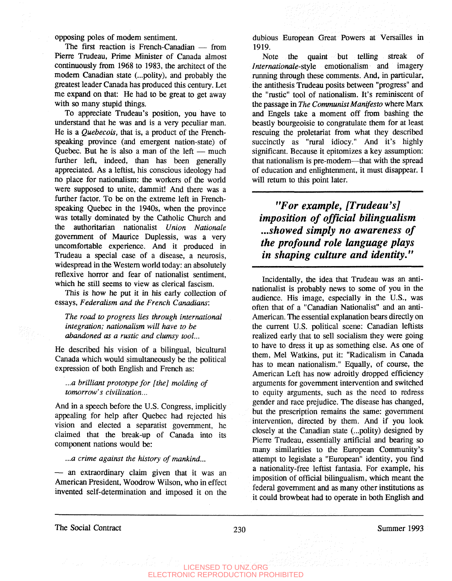opposing poles of modem sentiment.

The first reaction is French-Canadian — from Pierre Trudeau, Prime Minister of Canada almost continuously from 1968 to 1983, the architect of the modem Canadian state (...polity), and probably the greatest leader Canada has produced this century. Let me expand on that: He had to be great to get away with so many stupid things.

To appreciate Trudeau's position, you have to understand that he was and is a very peculiar man. He is a *Quebecois,* that is, a product of the Frenchspeaking province (and emergent nation-state) of Quebec. But he is also a man of the left — much further left, indeed, than has been generally appreciated. As a leftist, his conscious ideology had no place for nationalism: the workers of the world were supposed to unite, dammit! And there was a further factor. To be on the extreme left in Frenchspeaking Quebec in the 1940s, when the province was totally dominated by the Catholic Church and the authoritarian nationalist *Union Nationale* government of Maurice Duplessis, was a very uncomfortable experience. And it produced in Trudeau a special case of a disease, a neurosis, widespread in the Western world today: an absolutely reflexive horror and fear of nationalist sentiment, which he still seems to view as clerical fascism.

This is how he put it in his early collection of essays, *Federalism and the French Canadians;*

*The road to progress lies through international integration; nationalism will have to be abandoned as a rustic and clumsy tool...*

He described his vision of a bilingual, bicultural Canada which would simultaneously be the political expression of both English and French as:

*...a brilliant prototype for [the] molding of tomorrow's civilization...*

And in a speech before the U.S. Congress, implicitly appealing for help after Quebec had rejected his vision and elected a separatist government, he claimed that the break-up of Canada into its component nations would be:

*...a crime against the history of mankind...*

— an extraordinary claim given that it was an American President, Woodrow Wilson, who in effect invented self-determination and imposed it on the dubious European Great Powers at Versailles in 1919.

Note the quaint but telling streak of *Internationale-style* emotionalism and imagery running through these comments. And, in particular, the antithesis Trudeau posits between "progress" and the "rustic" tool of nationalism. It's reminiscent of the passage in *The Communist Manifesto* where Marx and Engels take a moment off from bashing the beastly bourgeoisie to congratulate them for at least rescuing the proletariat from what they described succinctly as "rural idiocy." And it's highly significant. Because it epitomizes a key assumption: that nationalism is pre-modern—that with the spread of education and enlightenment, it must disappear. I will return to this point later.

*"For example, [Trudeau's] imposition of official bilingualism ...showed simply no awareness of the profound role language plays in shaping culture and identity."*

Incidentally, the idea that Trudeau was an antinationalist is probably news to some of you in the audience. His image, especially in the U.S., was often that of a "Canadian Nationalist" and an anti-American. The essential explanation bears directly on the current U.S. political scene: Canadian leftists realized early that to sell socialism they were going to have to dress it up as something else. As one of them, Mel Watkins, put it: "Radicalism in Canada has to mean nationalism." Equally, of course, the American Left has now adroitly dropped efficiency arguments for government intervention and switched to equity arguments, such as the need to redress gender and race prejudice. The disease has changed, but the prescription remains the same: government intervention, directed by them. And if you look closely at the Canadian state (...polity) designed by Pierre Trudeau, essentially artificial and bearing so many similarities to the European Community's attempt to legislate a "European" identity, you find a nationality-free leftist fantasia. For example, his imposition of official bilingualism, which meant the federal government and as many other institutions as it could browbeat had to operate in both English and

The Social Contract 230 230 Summer 1993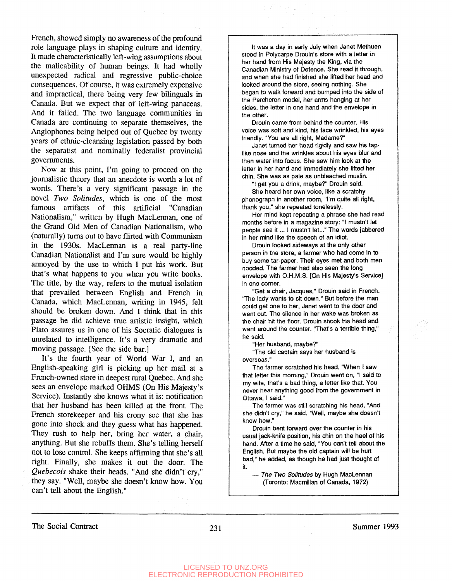French, showed simply no awareness of the profound role language plays in shaping culture and identity. It made characteristically left-wing assumptions about the malleability of human beings. It had wholly unexpected radical and regressive public-choice consequences. Of course, it was extremely expensive and impractical, there being very few bilinguals in Canada. But we expect that of left-wing panaceas. And it failed. The two language communities in Canada are continuing to separate themselves, the Anglophones being helped out of Quebec by twenty years of ethnic-cleansing legislation passed by both the separatist and nominally federalist provincial governments.

Now at this point, I'm going to proceed on the journalistic theory that an anecdote is worth a lot of words. There's a very significant passage in the novel *Two Solitudes,* which is one of the most famous artifacts of this artificial "Canadian Nationalism," written by Hugh MacLennan, one of the Grand Old Men of Canadian Nationalism, who (naturally) turns out to have flirted with Communism in the 1930s. MacLennan is a real party-line Canadian Nationalist and I'm sure would be highly annoyed by the use to which I put his work. But that's what happens to you when you write books. The title, by the way, refers to the mutual isolation that prevailed between English and French in Canada, which MacLennan, writing in 1945, felt should be broken down. And I think that in this passage he did achieve true artistic insight, which Plato assures us in one of his Socratic dialogues is unrelated to intelligence. It's a very dramatic and moving passage. [See the side bar.]

It's the fourth year of World War I, and an English-speaking girl is picking up her mail at a French-owned store in deepest rural Quebec. And she sees an envelope marked OHMS (On His Majesty's Service). Instantly she knows what it is: notification that her husband has been killed at the front. The French storekeeper and his crony see that she has gone into shock and they guess what has happened. They rush to help her, bring her water, a chair, anything. But she rebuffs them. She's telling herself not to lose control. She keeps affirming that she's all right. Finally, she makes it out the door. The *Quebecois* shake their heads. "And she didn't cry," they say. "Well, maybe she doesn't know how. You can't tell about the English."

It was a day in early July when Janet Methuen stood in Polycarpe Drouin's store with a letter in her hand from His Majesty the King, via the Canadian Ministry of Defence. She read it through, and when she had finished she lifted her head and looked around the store, seeing nothing. She began to walk forward and bumped into the side of the Percheron model, her arms hanging at her sides, the letter in one hand and the envelope in the other.

Drouin came from behind the counter. His voice was soft and kind, his face wrinkled, his eyes friendly. "You are all right, Madame?"

Janet turned her head rigidly and saw his taplike nose and the wrinkles about his eyes blur and then water into focus. She saw him look at the letter in her hand and immediately she lifted her chin. She was as pale as unbleached muslin.

"I get you a drink, maybe?" Drouin said.

She heard her own voice, like a scratchy phonograph in another room, "I'm quite all right, thank you," she repeated tonelessly.

Her mind kept repeating a phrase she had read months before in a magazine story: "I mustn't let people see it... I mustn't let..." The words jabbered in her mind like the speech of an idiot.

Drouin looked sideways at the only other person in the store, a farmer who had come in to buy some tar-paper. Their eyes met and both men nodded. The farmer had also seen the long envelope with O.H.M.S. [On His Majesty's Service] in one corner.

"Get a chair, Jacques," Drouin said in French. "The lady wants to sit down." But before the man could get one to her, Janet went to the door and went out. The silence in her wake was broken as the chair hit the floor. Drouin shook his head and went around the counter. "That's a terrible thing," he said.

"Her husband, maybe?"

'The old captain says her husband is overseas."

The farmer scratched his head. "When I saw that letter this morning," Drouin went on, "I said to my wife, that's a bad thing, a letter like that. You never hear anything good from the government in Ottawa, I said."

The farmer was still scratching his head, "And she didn't cry," he said. "Weil, maybe she doesn't know how."

Drouin bent forward over the counter in his usual jack-knife position, his chin on the heel of his hand. After a time he said, "You can't tell about the English. But maybe the old captain will be hurt bad," he added, as though he had just thought of it.

— The Two Solitudes by Hugh MacLennan (Toronto: Macmillan of Canada, 1972)

The Social Contract 231 Summer 1993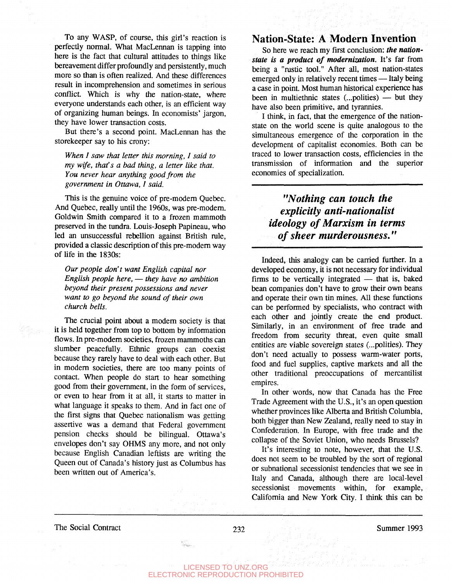To any WASP, of course, this girl's reaction is perfectly normal. What MacLennan is tapping into here is the fact that cultural attitudes to things like bereavement differ profoundly and persistently, much more so than is often realized. And these differences result in incomprehension and sometimes in serious conflict. Which is why the nation-state, where everyone understands each other, is an efficient way of organizing human beings. In economists' jargon, they have lower transaction costs.

But there's a second point. MacLennan has the storekeeper say to his crony:

*When I saw that letter this morning, I said to my wife, that's a bad thing, a letter like that. You never hear anything good from the government in Ottawa, I said.*

This is the genuine voice of pre-modern Quebec. And Quebec, really until the 1960s, was pre-modern. Goldwin Smith compared it to a frozen mammoth preserved in the tundra. Louis-Joseph Papineau, who led an unsuccessful rebellion against British rule, provided a classic description of this pre-modern way of life in the 1830s:

*Our people don't want English capital nor English people here,* — *they have no ambition beyond their present possessions and never want to go beyond the sound of their own church bells.*

The crucial point about a modern society is that it is held together from top to bottom by information flows. In pre-modern societies, frozen mammoths can slumber peacefully. Ethnic groups can coexist because they rarely have to deal with each other. But in modern societies, there are too many points of contact. When people do start to hear something good from their government, in the form of services, or even to hear from it at all, it starts to matter in what language it speaks to them. And in fact one of the first signs that Quebec nationalism was getting assertive was a demand that Federal government pension checks should be bilingual. Ottawa's envelopes don't say OHMS any more, and not only because English Canadian leftists are writing the Queen out of Canada's history just as Columbus has been written out of America's.

### Nation-State: A Modern Invention

So here we reach my first conclusion: *the nationstate is a product of modernization.* It's far from being a "rustic tool." After all, most nation-states emerged only in relatively recent times — Italy being a case in point. Most human historical experience has been in multiethnic states (...polities) — but they have also been primitive, and tyrannies.

I think, in fact, that the emergence of the nationstate on the world scene is quite analogous to the simultaneous emergence of the corporation in the development of capitalist economies. Both can be traced to lower transaction costs, efficiencies in the transmission of information and the superior economies of specialization.

## *"Nothing can touch the explicitly anti-nationalist ideology of Marxism in terms of sheer murderousness."*

Indeed, this analogy can be carried further. In a developed economy, it is not necessary for individual firms to be vertically integrated — that is, baked bean companies don't have to grow their own beans and operate their own tin mines. All these functions can be performed by specialists, who contract with each other and jointly create the end product. Similarly, in an environment of free trade and freedom from security threat, even quite small entities are viable sovereign states (...polities). They don't need actually to possess warm-water ports, food and fuel supplies, captive markets and all the other traditional preoccupations of mercantilist empires.

In other words, now that Canada has the Free Trade Agreement with the U.S., it's an open question whether provinces like Alberta and British Columbia, both bigger than New Zealand, really need to stay in Confederation. In Europe, with free trade and the collapse of the Soviet Union, who needs Brussels?

It's interesting to note, however, that the U.S. does not seem to be troubled by the sort of regional or subnational secessionist tendencies that we see in Italy and Canada, although there are local-level secessionist movements within, for example, California and New York City. I think this can be

The Social Contract 232 Summer 1993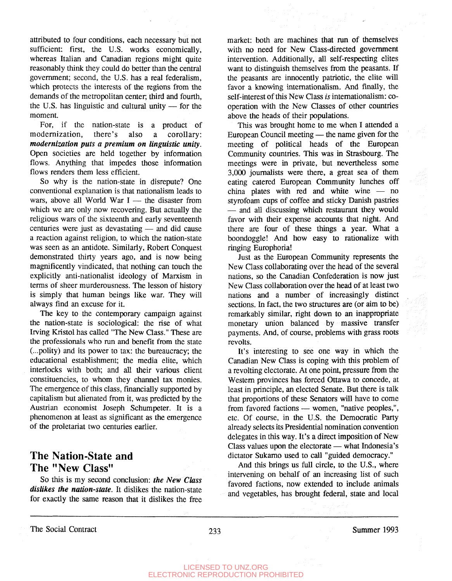attributed to four conditions, each necessary but not sufficient: first, the U.S. works economically, whereas Italian and Canadian regions might quite reasonably think they could do better than the central government; second, the U.S. has a real federalism, which protects the interests of the regions from the demands of the metropolitan center, third and fourth, the U.S. has linguistic and cultural unity — for the moment.

For, if the nation-state is a product of modernization, there's also a corollary: *modernization puts a premium on linguistic unity.* Open societies are held together by information flows. Anything that impedes those information flows renders them less efficient.

So why is the nation-state in disrepute? One conventional explanation is that nationalism leads to wars, above all World War  $I$  — the disaster from which we are only now recovering. But actually the religious wars of the sixteenth and early seventeenth centuries were just as devastating — and did cause a reaction against religion, to which the nation-state was seen as an antidote. Similarly, Robert Conquest demonstrated thirty years ago, and is now being magnificently vindicated, that nothing can touch the explicitly anti-nationalist ideology of Marxism in terms of sheer murderousness. The lesson of history is simply that human beings like war. They will always find an excuse for it.

The key to the contemporary campaign against the nation-state is sociological: the rise of what Irving Kristol has called "The New Class." These are the professionals who run and benefit from the state (...polity) and its power to tax: the bureaucracy; the educational establishment; the media elite, which interlocks with both; and all their various client constituencies, to whom they channel tax monies. The emergence of this class, financially supported by capitalism but alienated from it, was predicted by the Austrian economist Joseph Schumpeter. It is a phenomenon at least as significant as the emergence of the proletariat two centuries earlier.

## The Nation-State and The "New Class"

So this is my second conclusion: *the New Class dislikes the nation-state.* It dislikes the nation-state for exactly the same reason that it dislikes the free market: both are machines that run of themselves with no need for New Class-directed government intervention. Additionally, all self-respecting elites want to distinguish themselves from the peasants. If the peasants are innocently patriotic, the elite will favor a knowing internationalism. And finally, the self-interest of this New Class *is* internationalism: cooperation with the New Classes of other countries above the heads of their populations.

This was brought home to me when I attended a European Council meeting — the name given for the meeting of political heads of the European Community countries. This was in Strasbourg. The meetings were in private, but nevertheless some 3,000 journalists were there, a great sea of them eating catered European Community lunches off china plates with red and white wine — no styrofoam cups of coffee and sticky Danish pastries — and all discussing which restaurant they would favor with their expense accounts that night. And there are four of these things a year. What a boondoggle! And how easy to rationalize with ringing Europhoria!

Just as the European Community represents the New Class collaborating over the head of the several nations, so the Canadian Confederation is now just New Class collaboration over the head of at least two nations and a number of increasingly distinct sections. In fact, the two structures are (or aim to be) remarkably similar, right down to an inappropriate monetary union balanced by massive transfer payments. And, of course, problems with grass roots revolts.

It's interesting to see one way in which the Canadian New Class is coping with this problem of a revolting electorate. At one point, pressure from the Western provinces has forced Ottawa to concede, at least in principle, an elected Senate. But there is talk that proportions of these Senators will have to come from favored factions — women, "native peoples,", etc. Of course, in the U.S. the Democratic Party already selects its Presidential nomination convention delegates in this way. It's a direct imposition of New Class values upon the electorate — what Indonesia's dictator Sukarno used to call "guided democracy."

And this brings us full circle, to the U.S., where intervening on behalf of an increasing list of such favored factions, now extended to include animals and vegetables, has brought federal, state and local

The Social Contract 233 Summer 1993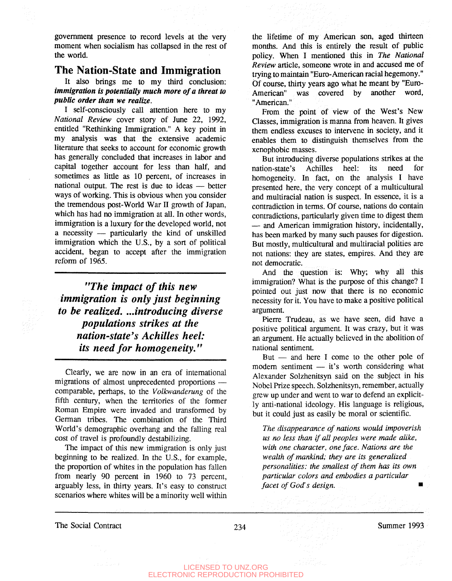government presence to record levels at the very moment when socialism has collapsed in the rest of the world.

#### The Nation-State and Immigration

It also brings me to my third conclusion: *immigration is potentially much more of a threat to public order than we realize.*

I self-consciously call attention here to my *National Review* cover story of June 22, 1992, entitled "Rethinking Immigration." A key point in my analysis was that the extensive academic literature that seeks to account for economic growth has generally concluded that increases in labor and capital together account for less than half, and sometimes as little as 10 percent, of increases in national output. The rest is due to ideas — better ways of working. This is obvious when you consider the tremendous post-World War II growth of Japan, which has had no immigration at all. In other words, immigration is a luxury for the developed world, not a necessity — particularly the kind of unskilled immigration which the U.S., by a sort of political accident, began to accept after the immigration reform of 1965.

*"The impact of this new immigration is only just beginning to be realized. ...introducing diverse populations strikes at the nation-state's Achilles heel: its need for homogeneity."*

Clearly, we are now in an era of international migrations of almost unprecedented proportions comparable, perhaps, to the *Volkwanderung* of the fifth century, when the territories of the former Roman Empire were invaded and transformed by German tribes. The combination of the Third World's demographic overhang and the falling real cost of travel is profoundly destabilizing.

The impact of this new immigration is only just beginning to be realized. In the U.S., for example, the proportion of whites in the population has fallen from nearly 90 percent in 1960 to 73 percent, arguably less, in thirty years. It's easy to construct scenarios where whites will be a minority well within the lifetime of my American son, aged thirteen months. And this is entirely the result of public policy. When I mentioned this in *The National Review* article, someone wrote in and accused me of trying to maintain "Euro-American racial hegemony." Of course, thirty years ago what he meant by "Euro-American" was covered by another word, "American."

From the point of view of the West's New Classes, immigration is manna from heaven. It gives them endless excuses to intervene in society, and it enables them to distinguish themselves from the xenophobic masses.

But introducing diverse populations strikes at the nation-state's Achilles heel: its need for homogeneity. In fact, on the analysis I have presented here, the very concept of a multicultural and multiracial nation is suspect. In essence, it is a contradiction in terms. Of course, nations do contain contradictions, particularly given time to digest them — and American immigration history, incidentally, has been marked by many such pauses for digestion. But mostly, multicultural and multiracial polities are not nations: they are states, empires. And they are not democratic.

And the question is: Why; why all this immigration? What is the purpose of this change? I pointed out just now that there is no economic necessity for it. You have to make a positive political argument.

Pierre Trudeau, as we have seen, did have a positive political argument. It was crazy, but it was an argument. He actually believed in the abolition of national sentiment.

But — and here I come to the other pole of modern sentiment — it's worth considering what Alexander Solzhenitsyn said on the subject in his Nobel Prize speech. Solzhenitsyn, remember, actually grew up under and went to war to defend an explicitly anti-national ideology. His language is religious, but it could just as easily be moral or scientific.

*The disappearance of nations would impoverish us no less than if all peoples were made alike, with one character, one face. Nations are the wealth of mankind; they are its generalized personalities: the smallest of them has its own particular colors and embodies a particular facet of God's design.* **•**

The Social Contract 234 Summer 1993